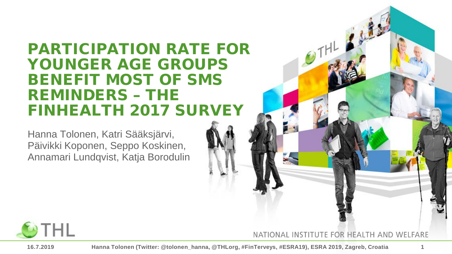#### PARTICIPATION RATE FOR YOUNGER AGE GROUPS BENEFIT MOST OF SMS REMINDERS – THE FINHEALTH 2017 SURVEY

Hanna Tolonen, Katri Sääksjärvi, Päivikki Koponen, Seppo Koskinen, Annamari Lundqvist, Katja Borodulin



 $\theta$ THL



**16.7.2019 Hanna Tolonen (Twitter: @tolonen\_hanna, @THLorg, #FinTerveys, #ESRA19), ESRA 2019, Zagreb, Croatia 1**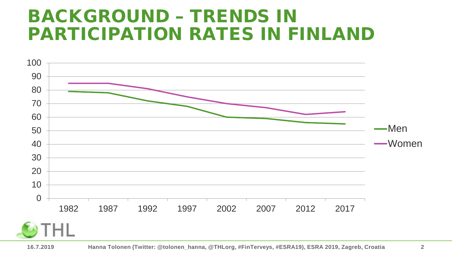#### BACKGROUND – TRENDS IN PARTICIPATION RATES IN FINLAND

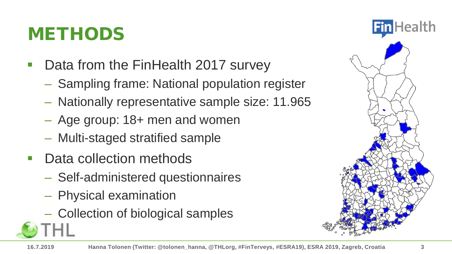#### METHODS

- Data from the FinHealth 2017 survey
	- Sampling frame: National population register
	- Nationally representative sample size: 11.965
	- Age group: 18+ men and women
	- Multi-staged stratified sample
- Data collection methods
	- Self-administered questionnaires
	- Physical examination
	- Collection of biological samples

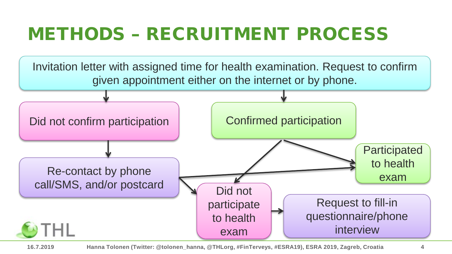#### METHODS – RECRUITMENT PROCESS



**16.7.2019 Hanna Tolonen (Twitter: @tolonen\_hanna, @THLorg, #FinTerveys, #ESRA19), ESRA 2019, Zagreb, Croatia 4**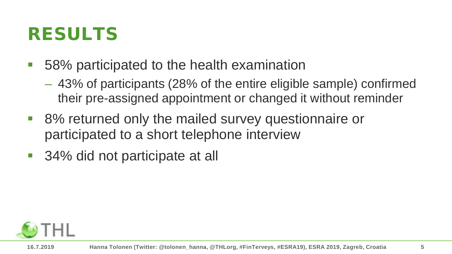#### RESULTS

- 58% participated to the health examination
	- 43% of participants (28% of the entire eligible sample) confirmed their pre-assigned appointment or changed it without reminder
- 8% returned only the mailed survey questionnaire or participated to a short telephone interview
- 34% did not participate at all

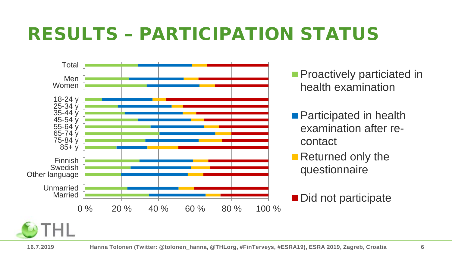#### RESULTS – PARTICIPATION STATUS



- **Proactively particiated in** health examination
- Participated in health examination after recontact
- Returned only the questionnaire
- Did not participate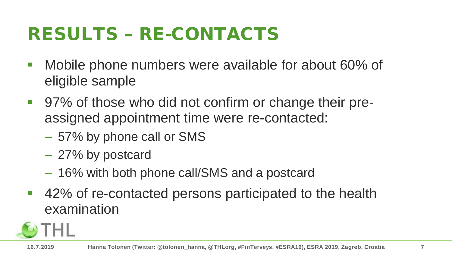## RESULTS – RE-CONTACTS

- **Mobile phone numbers were available for about 60% of** eligible sample
- 97% of those who did not confirm or change their preassigned appointment time were re-contacted:
	- 57% by phone call or SMS
	- 27% by postcard
	- 16% with both phone call/SMS and a postcard
- 42% of re-contacted persons participated to the health examination

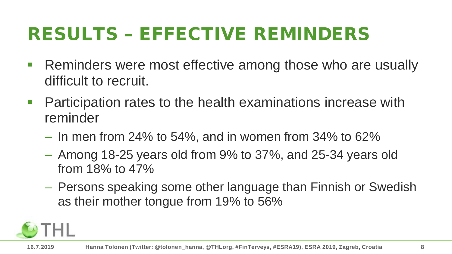## RESULTS – EFFECTIVE REMINDERS

- **Reminders were most effective among those who are usually** difficult to recruit.
- **Participation rates to the health examinations increase with** reminder
	- $-$  In men from 24% to 54%, and in women from 34% to 62%
	- Among 18-25 years old from 9% to 37%, and 25-34 years old from 18% to 47%
	- Persons speaking some other language than Finnish or Swedish as their mother tongue from 19% to 56%

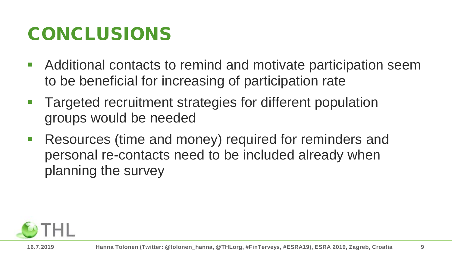#### CONCLUSIONS

- Additional contacts to remind and motivate participation seem to be beneficial for increasing of participation rate
- Targeted recruitment strategies for different population groups would be needed
- Resources (time and money) required for reminders and personal re-contacts need to be included already when planning the survey